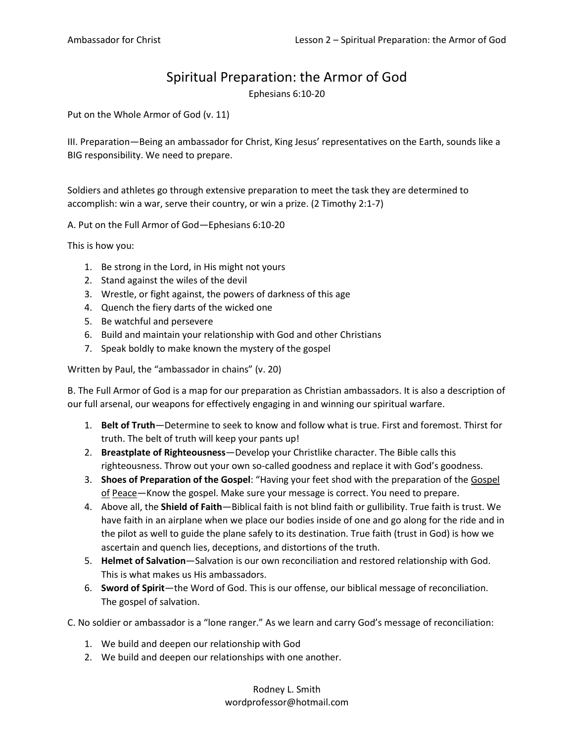## Spiritual Preparation: the Armor of God

Ephesians 6:10-20

Put on the Whole Armor of God (v. 11)

III. Preparation—Being an ambassador for Christ, King Jesus' representatives on the Earth, sounds like a BIG responsibility. We need to prepare.

Soldiers and athletes go through extensive preparation to meet the task they are determined to accomplish: win a war, serve their country, or win a prize. (2 Timothy 2:1-7)

A. Put on the Full Armor of God—Ephesians 6:10-20

This is how you:

- 1. Be strong in the Lord, in His might not yours
- 2. Stand against the wiles of the devil
- 3. Wrestle, or fight against, the powers of darkness of this age
- 4. Quench the fiery darts of the wicked one
- 5. Be watchful and persevere
- 6. Build and maintain your relationship with God and other Christians
- 7. Speak boldly to make known the mystery of the gospel

Written by Paul, the "ambassador in chains" (v. 20)

B. The Full Armor of God is a map for our preparation as Christian ambassadors. It is also a description of our full arsenal, our weapons for effectively engaging in and winning our spiritual warfare.

- 1. **Belt of Truth**—Determine to seek to know and follow what is true. First and foremost. Thirst for truth. The belt of truth will keep your pants up!
- 2. **Breastplate of Righteousness**—Develop your Christlike character. The Bible calls this righteousness. Throw out your own so-called goodness and replace it with God's goodness.
- 3. **Shoes of Preparation of the Gospel**: "Having your feet shod with the preparation of the Gospel of Peace—Know the gospel. Make sure your message is correct. You need to prepare.
- 4. Above all, the **Shield of Faith**—Biblical faith is not blind faith or gullibility. True faith is trust. We have faith in an airplane when we place our bodies inside of one and go along for the ride and in the pilot as well to guide the plane safely to its destination. True faith (trust in God) is how we ascertain and quench lies, deceptions, and distortions of the truth.
- 5. **Helmet of Salvation**—Salvation is our own reconciliation and restored relationship with God. This is what makes us His ambassadors.
- 6. **Sword of Spirit**—the Word of God. This is our offense, our biblical message of reconciliation. The gospel of salvation.

C. No soldier or ambassador is a "lone ranger." As we learn and carry God's message of reconciliation:

- 1. We build and deepen our relationship with God
- 2. We build and deepen our relationships with one another.

Rodney L. Smith wordprofessor@hotmail.com